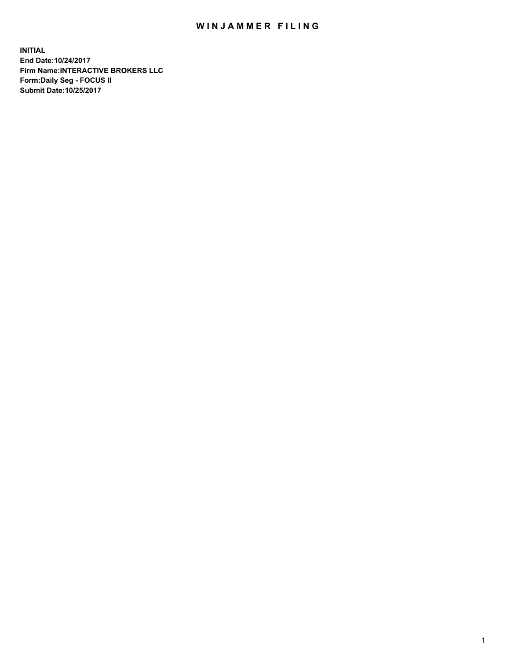## WIN JAMMER FILING

**INITIAL End Date:10/24/2017 Firm Name:INTERACTIVE BROKERS LLC Form:Daily Seg - FOCUS II Submit Date:10/25/2017**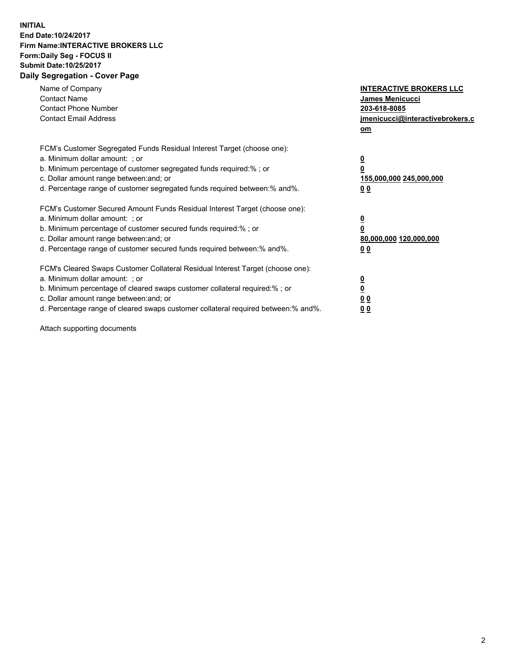## **INITIAL End Date:10/24/2017 Firm Name:INTERACTIVE BROKERS LLC Form:Daily Seg - FOCUS II Submit Date:10/25/2017 Daily Segregation - Cover Page**

| Name of Company<br><b>Contact Name</b><br><b>Contact Phone Number</b><br><b>Contact Email Address</b>                                                                                                                                                                                                                          | <b>INTERACTIVE BROKERS LLC</b><br><b>James Menicucci</b><br>203-618-8085<br>jmenicucci@interactivebrokers.c<br>om |
|--------------------------------------------------------------------------------------------------------------------------------------------------------------------------------------------------------------------------------------------------------------------------------------------------------------------------------|-------------------------------------------------------------------------------------------------------------------|
| FCM's Customer Segregated Funds Residual Interest Target (choose one):<br>a. Minimum dollar amount: ; or<br>b. Minimum percentage of customer segregated funds required:% ; or<br>c. Dollar amount range between: and; or<br>d. Percentage range of customer segregated funds required between:% and%.                         | $\overline{\mathbf{0}}$<br>0<br><u>155,000,000 245,000,000</u><br><u>00</u>                                       |
| FCM's Customer Secured Amount Funds Residual Interest Target (choose one):<br>a. Minimum dollar amount: ; or<br>b. Minimum percentage of customer secured funds required:%; or<br>c. Dollar amount range between: and; or<br>d. Percentage range of customer secured funds required between:% and%.                            | $\overline{\mathbf{0}}$<br>$\pmb{0}$<br>80,000,000 120,000,000<br>0 <sub>0</sub>                                  |
| FCM's Cleared Swaps Customer Collateral Residual Interest Target (choose one):<br>a. Minimum dollar amount: ; or<br>b. Minimum percentage of cleared swaps customer collateral required:% ; or<br>c. Dollar amount range between: and; or<br>d. Percentage range of cleared swaps customer collateral required between:% and%. | $\underline{\mathbf{0}}$<br>$\underline{\mathbf{0}}$<br>0 <sub>0</sub><br>00                                      |

Attach supporting documents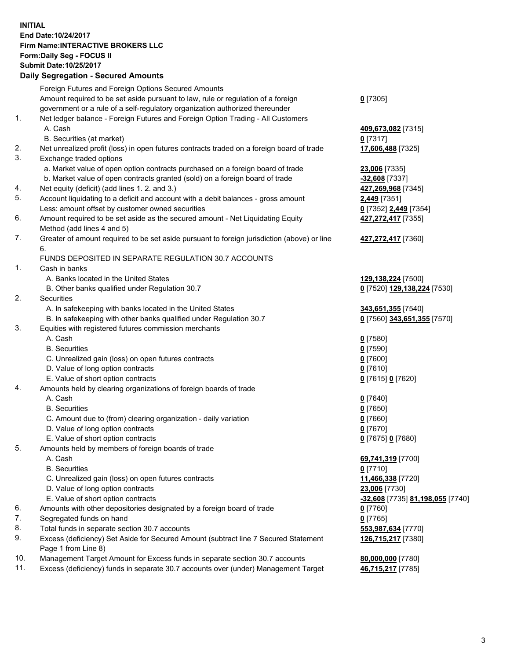## **INITIAL End Date:10/24/2017 Firm Name:INTERACTIVE BROKERS LLC Form:Daily Seg - FOCUS II Submit Date:10/25/2017**

|     | <b>Daily Segregation - Secured Amounts</b>                                                  |                                  |
|-----|---------------------------------------------------------------------------------------------|----------------------------------|
|     | Foreign Futures and Foreign Options Secured Amounts                                         |                                  |
|     | Amount required to be set aside pursuant to law, rule or regulation of a foreign            | $0$ [7305]                       |
|     | government or a rule of a self-regulatory organization authorized thereunder                |                                  |
| 1.  | Net ledger balance - Foreign Futures and Foreign Option Trading - All Customers             |                                  |
|     | A. Cash                                                                                     | 409,673,082 [7315]               |
|     | B. Securities (at market)                                                                   | $0$ [7317]                       |
| 2.  | Net unrealized profit (loss) in open futures contracts traded on a foreign board of trade   | 17,606,488 [7325]                |
| 3.  | Exchange traded options                                                                     |                                  |
|     | a. Market value of open option contracts purchased on a foreign board of trade              | 23,006 [7335]                    |
|     | b. Market value of open contracts granted (sold) on a foreign board of trade                | -32,608 [7337]                   |
| 4.  | Net equity (deficit) (add lines 1.2. and 3.)                                                | 427,269,968 [7345]               |
| 5.  | Account liquidating to a deficit and account with a debit balances - gross amount           | 2,449 [7351]                     |
|     | Less: amount offset by customer owned securities                                            | 0 [7352] 2,449 [7354]            |
| 6.  | Amount required to be set aside as the secured amount - Net Liquidating Equity              | 427,272,417 [7355]               |
|     | Method (add lines 4 and 5)                                                                  |                                  |
| 7.  | Greater of amount required to be set aside pursuant to foreign jurisdiction (above) or line | 427,272,417 [7360]               |
|     | 6.                                                                                          |                                  |
|     | FUNDS DEPOSITED IN SEPARATE REGULATION 30.7 ACCOUNTS                                        |                                  |
| 1.  | Cash in banks                                                                               |                                  |
|     | A. Banks located in the United States                                                       | 129,138,224 [7500]               |
|     | B. Other banks qualified under Regulation 30.7                                              | 0 [7520] 129,138,224 [7530]      |
| 2.  | Securities                                                                                  |                                  |
|     | A. In safekeeping with banks located in the United States                                   | 343,651,355 [7540]               |
|     | B. In safekeeping with other banks qualified under Regulation 30.7                          | 0 [7560] 343,651,355 [7570]      |
| 3.  | Equities with registered futures commission merchants                                       |                                  |
|     | A. Cash                                                                                     | $0$ [7580]                       |
|     | <b>B.</b> Securities                                                                        | $0$ [7590]                       |
|     | C. Unrealized gain (loss) on open futures contracts                                         | $0$ [7600]                       |
|     | D. Value of long option contracts                                                           | $0$ [7610]                       |
|     | E. Value of short option contracts                                                          | 0 [7615] 0 [7620]                |
| 4.  | Amounts held by clearing organizations of foreign boards of trade                           |                                  |
|     | A. Cash                                                                                     | $0$ [7640]                       |
|     | <b>B.</b> Securities                                                                        | $0$ [7650]                       |
|     | C. Amount due to (from) clearing organization - daily variation                             | $0$ [7660]                       |
|     | D. Value of long option contracts                                                           | $0$ [7670]                       |
|     | E. Value of short option contracts                                                          | 0 [7675] 0 [7680]                |
| 5.  | Amounts held by members of foreign boards of trade                                          |                                  |
|     | A. Cash                                                                                     | 69,741,319 [7700]                |
|     | <b>B.</b> Securities                                                                        | $0$ [7710]                       |
|     | C. Unrealized gain (loss) on open futures contracts                                         | 11,466,338 [7720]                |
|     | D. Value of long option contracts                                                           | 23,006 [7730]                    |
|     | E. Value of short option contracts                                                          | -32,608 [7735] 81,198,055 [7740] |
| 6.  | Amounts with other depositories designated by a foreign board of trade                      | $0$ [7760]                       |
| 7.  | Segregated funds on hand                                                                    | $0$ [7765]                       |
| 8.  | Total funds in separate section 30.7 accounts                                               | 553,987,634 [7770]               |
| 9.  | Excess (deficiency) Set Aside for Secured Amount (subtract line 7 Secured Statement         | 126,715,217 [7380]               |
|     | Page 1 from Line 8)                                                                         |                                  |
| 10. | Management Target Amount for Excess funds in separate section 30.7 accounts                 | 80,000,000 [7780]                |
| 11. | Excess (deficiency) funds in separate 30.7 accounts over (under) Management Target          | 46,715,217 [7785]                |
|     |                                                                                             |                                  |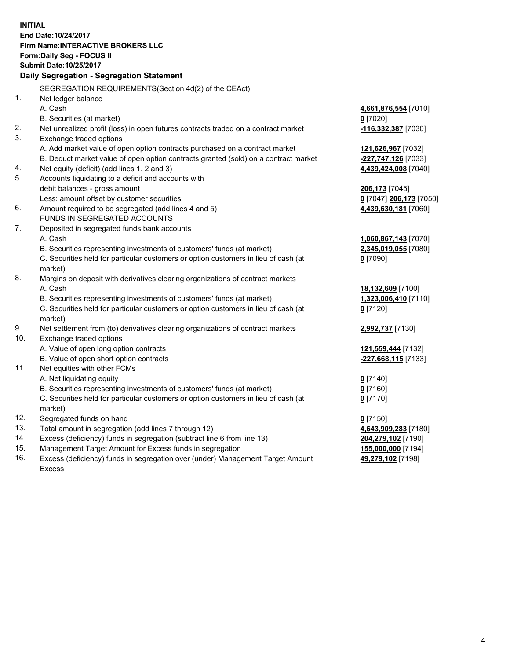**INITIAL End Date:10/24/2017 Firm Name:INTERACTIVE BROKERS LLC Form:Daily Seg - FOCUS II Submit Date:10/25/2017 Daily Segregation - Segregation Statement** SEGREGATION REQUIREMENTS(Section 4d(2) of the CEAct) 1. Net ledger balance A. Cash **4,661,876,554** [7010] B. Securities (at market) **0** [7020] 2. Net unrealized profit (loss) in open futures contracts traded on a contract market **-116,332,387** [7030] 3. Exchange traded options A. Add market value of open option contracts purchased on a contract market **121,626,967** [7032] B. Deduct market value of open option contracts granted (sold) on a contract market **-227,747,126** [7033] 4. Net equity (deficit) (add lines 1, 2 and 3) **4,439,424,008** [7040] 5. Accounts liquidating to a deficit and accounts with debit balances - gross amount **206,173** [7045] Less: amount offset by customer securities **0** [7047] **206,173** [7050] 6. Amount required to be segregated (add lines 4 and 5) **4,439,630,181** [7060] FUNDS IN SEGREGATED ACCOUNTS 7. Deposited in segregated funds bank accounts A. Cash **1,060,867,143** [7070] B. Securities representing investments of customers' funds (at market) **2,345,019,055** [7080] C. Securities held for particular customers or option customers in lieu of cash (at market) **0** [7090] 8. Margins on deposit with derivatives clearing organizations of contract markets A. Cash **18,132,609** [7100] B. Securities representing investments of customers' funds (at market) **1,323,006,410** [7110] C. Securities held for particular customers or option customers in lieu of cash (at market) **0** [7120] 9. Net settlement from (to) derivatives clearing organizations of contract markets **2,992,737** [7130] 10. Exchange traded options A. Value of open long option contracts **121,559,444** [7132] B. Value of open short option contracts **-227,668,115** [7133] 11. Net equities with other FCMs A. Net liquidating equity **0** [7140] B. Securities representing investments of customers' funds (at market) **0** [7160] C. Securities held for particular customers or option customers in lieu of cash (at market) **0** [7170] 12. Segregated funds on hand **0** [7150] 13. Total amount in segregation (add lines 7 through 12) **4,643,909,283** [7180] 14. Excess (deficiency) funds in segregation (subtract line 6 from line 13) **204,279,102** [7190] 15. Management Target Amount for Excess funds in segregation **155,000,000** [7194]

16. Excess (deficiency) funds in segregation over (under) Management Target Amount Excess

**49,279,102** [7198]